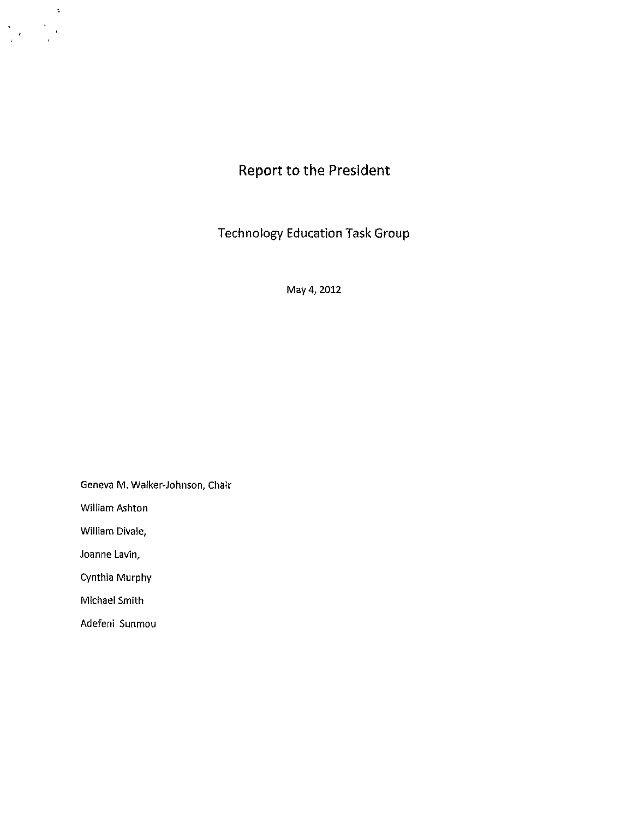

Technology Education Task Group

May 4, 2012

Geneva M. Walker-Johnson, Chair

William Ashton

 $\sim$   $\approx$ 

 $\frac{1}{\sqrt{2}}\sum_{i=1}^{\infty}\frac{1}{\sqrt{2}}\left(\frac{1}{\sqrt{2}}\right)^{i}=\frac{1}{2}\sum_{i=1}^{\infty}\frac{1}{\sqrt{2}}$ 

William Divale,

Joanne Lavin,

Cynthia Murphy

Michael Smith

Adefeni Sunmou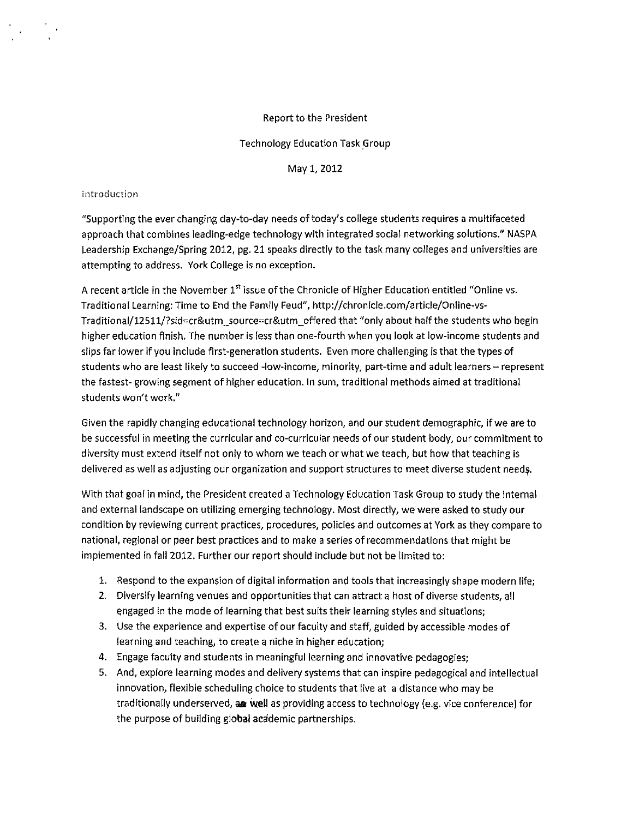# Report to the President

# Technology Education Task *\_Group*

May 1, 2012

## introduction

"Supporting the ever changing day-to-day needs of today's college students requires a multifaceted approach that combines leading-edge technology with integrated social networking solutions." NASPA Leadership Exchange/Spring 2012, pg. 21 speaks directly to the task many colleges and universities are attempting to address. York College is no exception.

A recent article in the November 1" issue of the Chronicle of Higher Education entitled "Online vs. Traditional Learning: Time to End the Family Feud", [http://chronicle.com/article/Online-vs-](http://chronicle.com/article/Online-vs)Traditional/12511/7sid=cr&utm\_source=cr&utm\_offered that "only about half the students who begin higher education finish. The number is less than one-fourth when you look at low-income students and slips far lower if you include first-generation students. Even more challenging is that the types of students who are least likely to succeed -low-income, minority, part-time and adult learners - represent the fastest- growing segment of higher education. In sum, traditional methods aimed at traditional students won't work."

Given the rapidly changing educational technology horizon, and our student demographic, if we are to be successful in meeting the curricular and co-curricular needs of our student body, our commitment to diversity must extend itself not only to whom we teach or what we teach, but how that teaching is delivered as well as adjusting our organization and support structures to meet diverse student needs.

With that goal in mind, the President created a Technology Education Task Group to study the internal and external landscape on utilizing emerging technology. Most directly, we were asked to study our condition by reviewing current practices, procedures, policies and outcomes at York as they compare to national, regional or peer best practices and to make a series of recommendations that might be implemented in fall 2012. Further our report should include but not be limited to:

- 1. Respond to the expansion of digital information and tools that Increasingly shape modern life;
- 2. Diversify learning venues and opportunities that can attract a host of diverse students, all engaged in the mode of learning that best suits their learning styles and situations;
- 3. Use the experience and expertise of our faculty and staff, guided by accessible modes of learning and teaching, to create a niche in higher education;
- 4. Engage faculty and students in meaningful learning and Innovative pedagogies;
- 5. And, explore learning modes and delivery systems that can inspire pedagogical and intellectual innovation, flexible scheduling choice to students that live at a distance who may be traditionally underserved, **aa weU** as providing access to technology (e.g. vice conference) for the purpose of building global academic partnerships.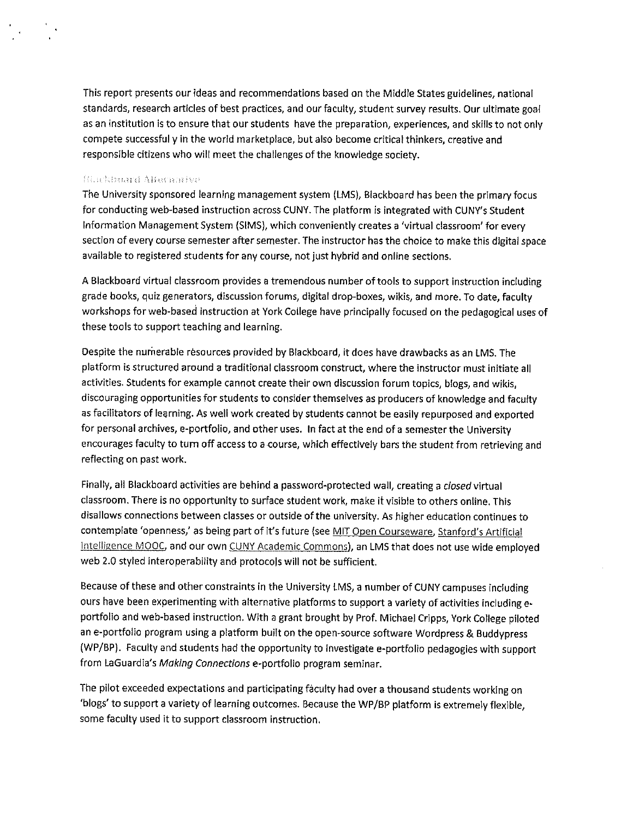This report presents our ideas and recommendations based on the Middle States guidelines, national standards, research articles of best practices, and our faculty, student survey results. Our ultimate goal as an institution is to ensure that our students have the preparation, experiences, and skills to not only compete successful yin the world marketplace, but also become critical thinkers, creative and responsible citizens who will meet the challenges of the knowledge society.

## filmkbana Alteranive

 $\sim$ 

The University sponsored learning management system (LMS), Blackboard has been the primary focus for conducting web-based instruction across CUNY. The platform is integrated with CUNY's Student Information Management System (SIMS), which conveniently creates a 'virtual classroom' for every section of every course semester after semester. The instructor has the choice to make this digital space available to registered students for any course, not just hybrid and online sections.

A Blackboard virtual classroom provides a tremendous number of tools to support Instruction including grade books, quiz generators, discussion forums, digital drop-boxes, wikis, and more. To date, faculty workshops for web-based instruction at York College have principally focused on the pedagogical uses of these tools to support teaching and learning.

Despite the numerable resources provided by Blackboard, it does have drawbacks as an LMS. The platform is structured around a traditional classroom construct, where the instructor must initiate all activities. Students for example cannot create their own discussion forum topics, biogs, and wikis, discouraging opportunities for students to consider themselves as producers of knowledge and faculty as facilitators of learning. As well work created by students cannot be easily repurposed and exported for personal archives, e-portfolio, and other uses. In fact at the end of a semester the University encourages faculty to turn off access to a course, which effectively bars the student from retrieving and reflecting on past work.

Finally, all Blackboard activities are behind a password-protected wall, creating a closed virtual classroom. There is no opportunity to surface student work, make it visible to others online. This disallows connections between classes or outside of the university. As higher education continues to contemplate 'openness,' as being part of it's future (see MIT Open Courseware, Stanford's Artificial Intelligence MOOC, and our own CUNY Academic Commons), an LMS that does not use wide employed web 2.0 styled interoperability and protocols will not be sufficient.

Because of these and other constraints in the University LMS, a number of CUNY campuses including ours have been experimenting with alternative platforms to support a variety of activities including e• portfolio and web-based instruction. With a grant brought by Prof. Michael Cripps, York College piloted an e-portfolio program using a platform built on the open-source software Wordpress & Buddypress (WP/BP). Faculty and students had the opportunity to Investigate e-portfolio pedagogies with support from LaGuardia's Making Connections e-portfolio program seminar.

The pilot exceeded expectations and participating faculty had over a thousand students working on 'biogs' to support a variety of learning outcomes. Because the WP/BP platform is extremely flexible, some faculty used it to support classroom instruction.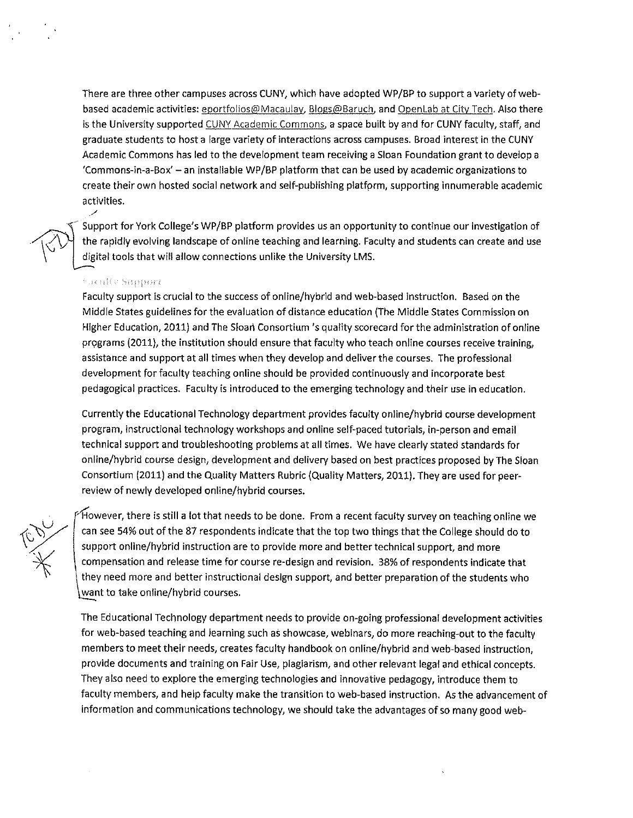There are three other campuses across CUNY, which have adopted WP/BP to support a variety of webbased academic activities: eportfolios@Macaulay, Blogs@Baruch, and Openlab at City Tech. Also there is the University supported CUNY Academic Commons, a space built by and for CUNY faculty, staff, and graduate students to host a large variety of interactions across campuses. Broad interest in the CUNY Academic Commons has led to the development team receiving a Sloan Foundation grant to develop a 'Commons-in-a-Box' - an installable WP/BP platform that can be used by academic organizations to create their own hosted social network and self-publishing platfprm, supporting innumerable academic activities.

Support for York College's WP/BP platform provides us an opportunity to continue our investigation of the rapidly evolving landscape of online teaching and learning. Faculty and students can create and use digital tools that will allow connections unlike the University LMS.

### **Faculty Support**

/

 $\mathbb{C}\mathcal{V}$ 

Faculty support is crucial to the success of on line/hybrid and web-based instruction. Based on the Middle States guidelines for the evaluation of distance education (The Middle States Commission on Higher Education, 2011) and The Sloan Consortium's quality scorecard for the administration of online programs (2011), the institution should ensure that faculty who teach online courses receive training, assistance and support at all times when they develop and deliver the courses. The professional development for faculty teaching online should be provided continuously and incorporate best pedagogical practices. Faculty is introduced to the emerging technology and their use in education.

Currently the Educational Technology department provides faculty on line/hybrid course development program, instructional technology workshops and on line self-paced tutorials, in-person and email technical support and troubleshooting problems at all times. We have clearly stated standards for on line/hybrid course design, development and delivery based on best practices proposed by The Sloan Consortium (2011) and the Quality Matters Rubric (Quality Matters, 2011). They are used for peerreview of newly developed online/hybrid courses.

 $\epsilon$  However, there is still a lot that needs to be done. From a recent faculty survey on teaching online we can see 54% out of the 87 respondents indicate that the top two things that the College should do to support online/hybrid instruction are to provide more and better technical support, and more compensation and release time for course re-design and revision. 38% of respondents indicate that they need more and better instructional design support, and better preparation of the students who want to take online/hybrid courses.

The Educational Technology department needs to provide on-going professional development activities for web-based teaching and learning such as showcase, webinars, do more reaching-out to the faculty members to meet their needs, creates faculty handbook on on line/hybrid and web-based instruction, provide documents and training on Fair Use, plagiarism, and other relevant legal and ethical concepts. They also need to explore the emerging technologies and innovative pedagogy, introduce them to faculty members, and help faculty make the transition to web-based instruction. As the advancement of information and communications technology, we should take the advantages of so many good web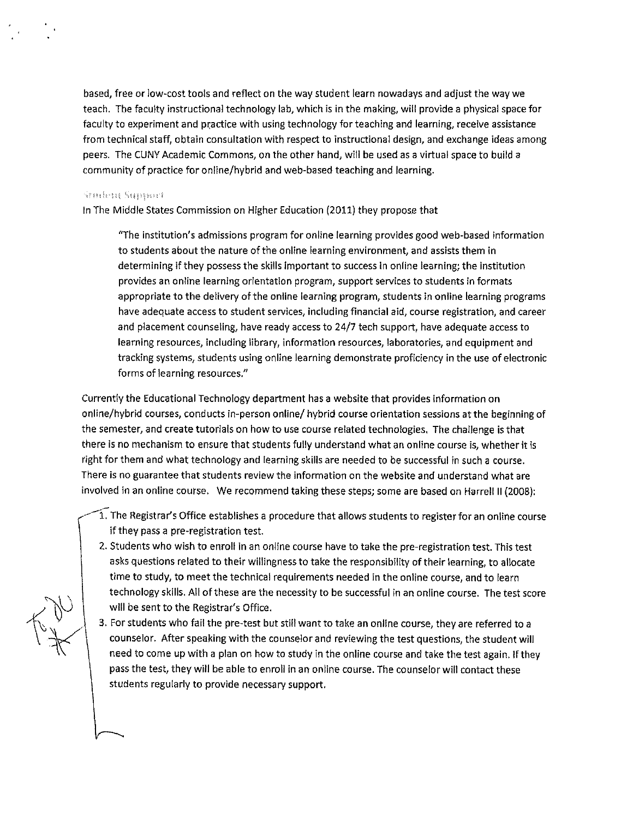based, free or low-cost tools and reflect on the way student learn nowadays and adjust the way we teach. The faculty instructional technology lab, which is in the making, will provide a physical space for faculty to experiment and practice with using technology for teaching and learning, receive assistance from technical staff, obtain consultation with respect to instructional design, and exchange ideas among peers. The CUNY Academic Commons, on the other hand, will be used as a virtual space to build a community of practice for online/hybrid and web-based teaching and learning.

#### Smiths Support

In The Middle States Commission on Higher Education (2011) they propose that

"The institution's admissions program for online learning provides good web-based information to students about the nature of the online learning environment, and assists them in determining if they possess the skills important to success In on line learning; the institution provides an online learning orientation program, support services to students in formats appropriate to the delivery of the online learning program, students in online learning programs have adequate access to student services, including financial aid, course registration, and career and placement counseling, have ready access to 24/7 tech support, have adequate access to learning resources, including library, information resources, laboratories, and equipment and tracking systems, students using on line learning demonstrate proficiency in the use of electronic forms of learning resources."

Currently the Educational Technology department has a website that provides information on online/hybrid courses, conducts in-person online/ hybrid course orientation sessions at the beginning of the semester, and create tutorials on how to use course related technologies, The challenge is that there is no mechanism to ensure that students fully understand what an online course is, whether it is right for them and what technology and learning skills are needed to be successful in such a course. There is no guarantee that students review the information on the website and understand what are involved in an online course, We recommend taking these steps; some are based on Harrell II (2008):

1. The Registrar's Office establishes a procedure that allows students to register for an online course if they pass a pre-registration test.

- 2. Students who wish to enroll in an online course have to take the pre-registration test. This test asks questions related to their willingness to take the responsibility of their learning, to allocate time to study, to meet the technical requirements needed in the online course, and to learn technology skills. All of these are the necessity to be successful in an online course. The test score will be sent to the Registrar's Office.
- 3. For students who fail the pre-test but still want to take an online course, they are referred to a counselor. After speaking with the counselor and reviewing the test questions, the student will need to come up with a plan on how to study in the online course and take the test again. If they pass the test, they will be able to enroll in an online course. The counselor will contact these students regularly to provide necessary support.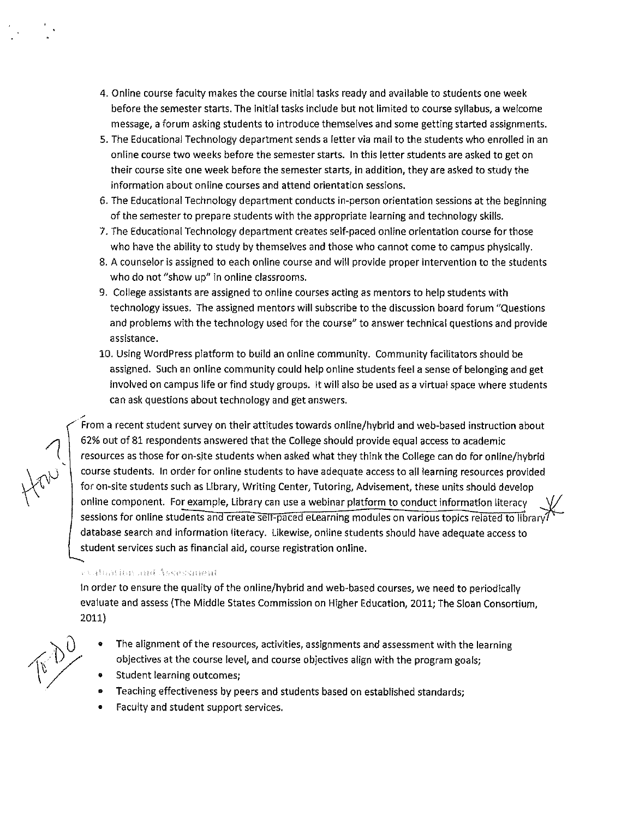- 4. Online course faculty makes the course initial tasks ready and available to students one week before the semester starts. The initial tasks include but not limited to course syllabus, a welcome message, a forum asking students to introduce themselves and some getting started assignments.
- 5. The Educational Technology department sends a letter via mail to the students who enrolled in an online course two weeks before the semester starts. In this letter students are asked to get on their course site one week before the semester starts, in addition, they are asked to study the information about on line courses and attend orientation sessions.
- 6. The Educational Technology department conducts in-person orientation sessions at the beginning of the semester to prepare students with the appropriate learning and technology skills.
- 7. The Educational Technology department creates self-paced online orientation course for those who have the ability to study by themselves and those who cannot come to campus physically.
- 8. A counselor is assigned to each online course and will provide proper intervention to the students who do not "show up" in online classrooms.
- 9. College assistants are assigned to online courses acting as mentors to help students with technology issues. The assigned mentors will subscribe to the discussion board forum "Questions and problems with the technology used for the course" to answer technical questions and provide assistance.
- 10. Using WordPress platform to build an online community. Community facilitators should be assigned. Such an online community could help online students feel a sense of belonging and get involved on campus life or find study groups. It will also be used as a virtual space where students can ask questions about technology and get answers.

, · From a recent student survey on their attitudes towards on line/hybrid and web-based instruction about 62% out of 81 respondents answered that the College should provide equal access to academic resources as those for on-site students when asked what they think the College can do for online/hybrid course students. In order for online students to have adequate access to all learning resources provided for on-site students such as Library, Writing Center, Tutoring, Advisement, these units should develop online component. For example, Library can use a webinar platform to conduct information literacy sessions for online students and create self-paced elearning modules on various topics related to library database search and information literacy. Likewise, online students should have adequate access to student services such as financial aid, course registration online.

# **PERMIT AND AZ AZ BEL MANUFARE**

In order to ensure the quality of the online/hybrid and web-based courses, we need to periodically evaluate and assess (The Middle States Commission on Higher Education, 2011; The Sloan Consortium, 2011)

- The alignment of the resources, activities, assignments and assessment with the learning objectives at the course level, and course objectives align with the program goals;
- Student learning outcomes;
- Teaching effectiveness by peers and students based on established standards;
- Faculty and student support services.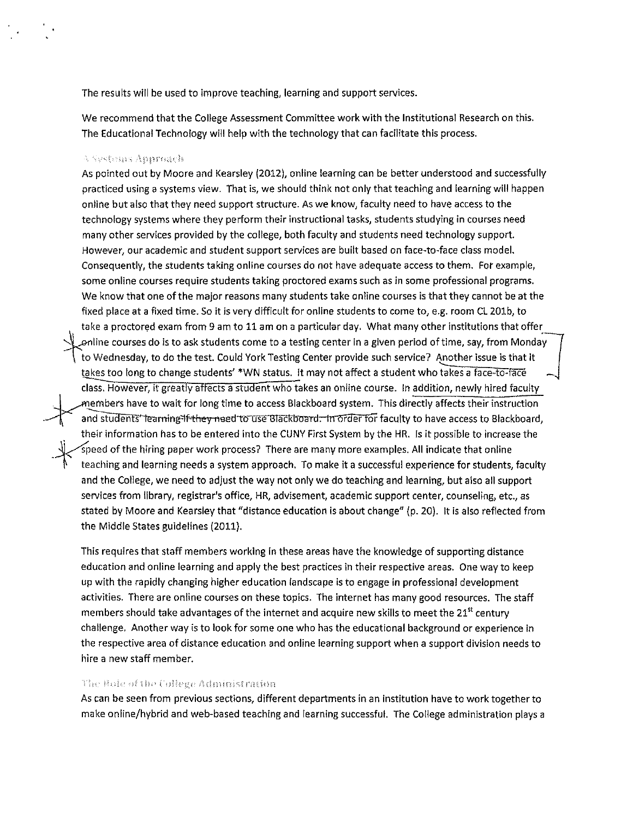The results will be used to improve teaching, learning and support services.

We recommend that the College Assessment Committee work with the Institutional Research on this. The Educational Technology will help with the technology that can facilitate this process.

#### j.,

As pointed out by Moore and Kearsley (2G12), online learning can be better understood and successfully practiced using a systems view. That is, we should think not only that teaching and learning will happen onllne but also that they need support structure. As we know, faculty need to have access to the technology systems where they perform their instructional tasks, students studying in courses need many other services provided by the college, both faculty and students need technology support. However, our academic and student support services are built based on face-to-face class model. Consequently, the students taking onllne courses do not have adequate access to them. For example, some online courses require students taking proctored exams such as in some professional programs. We know that one of the major reasons many students take online courses is that they cannot be at the fixed place at a fixed time. So it is very difficult for onllne students to come to, e.g. room CL 201b, to take a proctored exam from 9 am to 11 am on a particular day. What many other institutions that offer enline courses do is to ask students come to a testing center in a given period of time, say, from Monday, .<br>to Wednesday, to do the test. Could York Testing Center provide such service? Another issue is that it takes too long to change students' \*WN status. It may not affect a student who takes a face-to-face class. However, it greatly affects a student who takes an online course. In addition, newly hired faculty members have to wait for long time to access Blackboard system. This directly affects their instruction and students' learning if they need to use Blackboard. In order for faculty to have access to Blackboard, . their information has to be entered into the CUNY First System by the HR. Is it possible to increase the Speed of the hiring paper work process? There are many more examples. All indicate that online teaching and learning needs a system approach. To make it a successful experience for students, faculty and the College, we need to adjust the way not only we do teaching and learning, but also all support services from library, registrar's office, HR, advisement, academic support center, counseling, etc., as stated by Moore and Kearsley that "distance education is about change" (p. 20). It is also reflected from the Middle States guidelines (2011).

This requires that staff members working in these areas have the knowledge of supporting distance education and online learning and apply the best practices in their respective areas. One way to keep up with the rapidly changing higher education landscape is to engage in professional development activities. There are online courses on these topics. The internet has many good resources. The staff members should take advantages of the internet and acquire new skills to meet the 21<sup>st</sup> century challenge. Another way is to look for some one who has the educational background or experience in the respective area of distance education and online learning support when a support division needs to hire a new staff member.

## The Role of the College Administration

As can be seen from previous sections, different departments in an institution have to work together to make on line/hybrid and web-based teaching and learning successful. The College administration plays a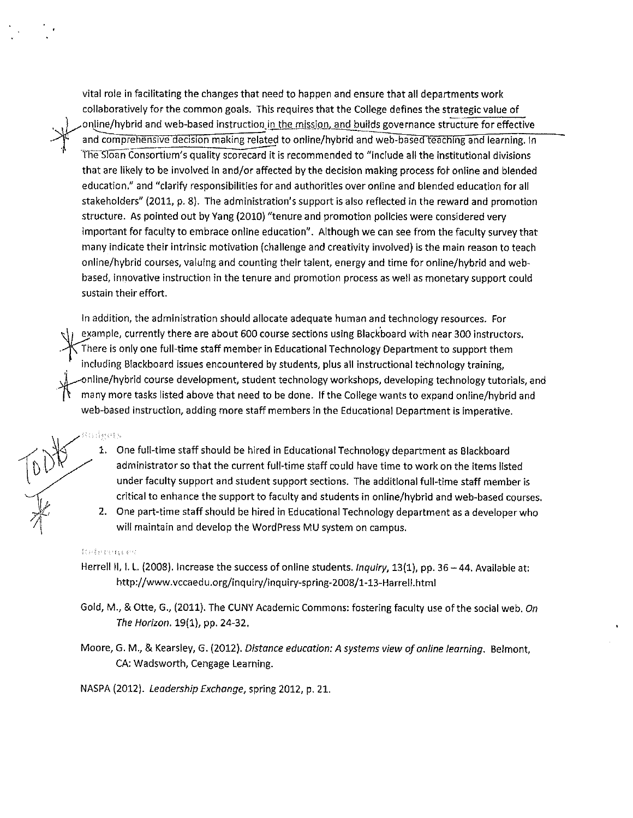vital role in facilitating the changes that need to happen and ensure that all departments work collaboratively for the common goals. This requires that the College defines the strategic value of online/hybrid and web-based instruction in the mission, and builds governance structure for effective and comprehensive decision making related to online/hybrid and web-based teaching and learning. In The Sloan Consortium's quality scorecard it is recommended to "include all the institutional divisions that are likely to be involved in and/or affected by the decision making process for online and blended education." and "clarify responsibilities for and authorities over online and blended education for all stakeholders" (2011, p. 8). The administration's support is also reflected in the reward and promotion structure. As pointed out by Yang (2010) "tenure and promotion policies were considered very important for faculty to embrace onllne education". Although we can see from the faculty survey that many indicate their intrinsic motivation (challenge and creativity involved) is the main reason to teach online/hybrid courses, valuing and counting their talent, energy and time for online/hybrid and webbased, innovative instruction in the tenure and promotion process as well as monetary support could sustain their effort.

In addition, the administration should allocate adequate human and technology resources. For example, currently there are about 600 course sections using Blackboard with near 300 instructors.<br>There is only one full-time staff member in Educational Technology Department to support them including Blackboard issues encountered by students, plus all instructional technology training, online/hybrid course development, student technology workshops, developing technology tutorials, and many more tasks listed above that need to be done. If the College wants to expand online/hybrid and web-based instruction, adding more staff members in the Educational Department is imperative.

- i šta objekti sv
	- 1. One full-time staff should be hired in Educational Technology department as Blackboard administrator so that the current full-time staff could have time to work on the items listed under faculty support and student support sections. The additional full-time staff member is critical to enhance the support to faculty and students in online/hybrid and web-based courses.
	- 2. One part-time staff should be hired in Educational Technology department as a developer who will maintain and develop the WordPress MU system on campus.

### *'!,·, 1*

- Herrell II, I. L. (2008). Increase the success of online students. Inquiry, 13(1), pp. 36 -44. Available at: <http://www>.vccaedu.org/inquiry/inquiry-spring-2008/1-13-Harrell.html
- Gold, M., & Otte, G., (2011). The CUNY Academic Commons: fostering faculty use of the social web. On The Horizon. 19(1), pp. 24-32.
- Moore, G. M., & Kearsley, G. (2012). Distance education: A systems view of online /earning. Belmont, CA: Wadsworth, Cengage Learning.

NASPA (2012). Leadership Exchange, spring 2012, p. 21.